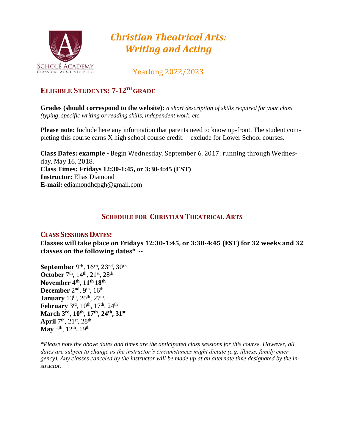

# *Christian Theatrical Arts: Writing and Acting*

Yearlong 2022/2023

# **ELIGIBLE STUDENTS: 7-12TH GRADE**

**Grades (should correspond to the website):** *a short description of skills required for your class (typing, specific writing or reading skills, independent work, etc.*

**Please note:** Include here any information that parents need to know up-front. The student completing this course earns X high school course credit. – exclude for Lower School courses.

**Class Dates: example -** Begin Wednesday, September 6, 2017; running through Wednesday, May 16, 2018. **Class Times: Fridays 12:30-1:45, or 3:30-4:45 (EST) Instructor:** Elias Diamond **E-mail:** [ediamondhcpgh@gmail.com](mailto:ediamondhcpgh@gmail.com)

# **SCHEDULE FOR CHRISTIAN THEATRICAL ARTS**

#### **CLASS SESSIONS DATES:**

**Classes will take place on Fridays 12:30-1:45, or 3:30-4:45 (EST) for 32 weeks and 32 classes on the following dates\* --**

**September** 9th, 16th, 23rd, 30th October 7<sup>th</sup>, 14<sup>th</sup>, 21<sup>st</sup>, 28<sup>th</sup> **November 4th, 11th 18th December** 2<sup>nd</sup>, 9<sup>th</sup>, 16<sup>th</sup> **January**  $13^{th}$ ,  $20^{th}$ ,  $27^{th}$ , **February** 3<sup>rd</sup>, 10<sup>th</sup>, 17<sup>th</sup>, 24<sup>th</sup> **March 3rd, 10th, 17th, 24th, 31st**  April  $7<sup>th</sup>$ ,  $21<sup>st</sup>$ ,  $28<sup>th</sup>$ **May** 5<sup>th</sup>, 12<sup>th</sup>, 19<sup>th</sup>

*\*Please note the above dates and times are the anticipated class sessions for this course. However, all dates are subject to change as the instructor's circumstances might dictate (e.g. illness, family emergency). Any classes canceled by the instructor will be made up at an alternate time designated by the instructor.*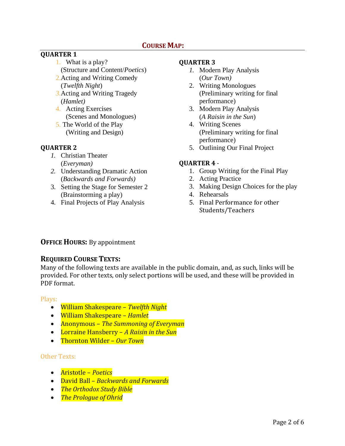# **COURSE MAP:**

# **QUARTER 1**

- 1. What is a play? (Structure and Content/*Poetics*)
- 2.Acting and Writing Comedy (*Twelfth Night*)
- *3.*Acting and Writing Tragedy (*Hamlet)*
- 4. Acting Exercises (Scenes and Monologues)
- 5. The World of the Play (Writing and Design)

#### **QUARTER 2**

- *1.* Christian Theater (*Everyman)*
- *2.* Understanding Dramatic Action (*Backwards and Forwards)*
- 3. Setting the Stage for Semester 2 (Brainstorming a play)
- 4. Final Projects of Play Analysis

#### **QUARTER 3**

- *1.* Modern Play Analysis (*Our Town)*
- 2. Writing Monologues (Preliminary writing for final performance)
- 3. Modern Play Analysis (*A Raisin in the Sun*)
- 4. Writing Scenes (Preliminary writing for final performance)
- 5. Outlining Our Final Project

### **QUARTER 4** -

- 1. Group Writing for the Final Play
- 2. Acting Practice
- 3. Making Design Choices for the play
- 4. Rehearsals
- 5. Final Performance for other Students/Teachers

# **OFFICE HOURS:** By appointment

# **REQUIRED COURSE TEXTS:**

Many of the following texts are available in the public domain, and, as such, links will be provided. For other texts, only select portions will be used, and these will be provided in PDF format.

#### Plays:

- William Shakespeare *Twelfth Night*
- William Shakespeare *Hamlet*
- Anonymous *The Summoning of Everyman*
- Lorraine Hansberry *A Raisin in the Sun*
- Thornton Wilder *Our Town*

#### Other Texts:

- Aristotle *Poetics*
- David Ball *Backwards and Forwards*
- *The Orthodox Study Bible*
- *The Prologue of Ohrid*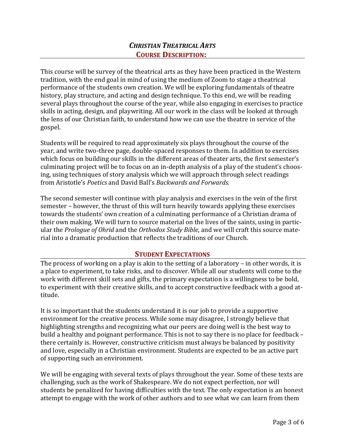# *CHRISTIAN THEATRICAL ARTS* **COURSE DESCRIPTION:**

This course will be survey of the theatrical arts as they have been practiced in the Western tradition, with the end goal in mind of using the medium of Zoom to stage a theatrical performance of the students own creation. We will be exploring fundamentals of theatre history, play structure, and acting and design technique. To this end, we will be reading several plays throughout the course of the year, while also engaging in exercises to practice skills in acting, design, and playwriting. All our work in the class will be looked at through the lens of our Christian faith, to understand how we can use the theatre in service of the gospel.

Students will be required to read approximately six plays throughout the course of the year, and write two-three page, double-spaced responses to them. In addition to exercises which focus on building our skills in the different areas of theater arts, the first semester's culminating project will be to focus on an in-depth analysis of a play of the student's choosing, using techniques of story analysis which we will approach through select readings from Aristotle's *Poetics* and David Ball's *Backwards and Forwards.*

The second semester will continue with play analysis and exercises in the vein of the first semester – however, the thrust of this will turn heavily towards applying these exercises towards the students' own creation of a culminating performance of a Christian drama of their own making. We will turn to source material on the lives of the saints, using in particular the *Prologue of Ohrid* and the *Orthodox Study Bible*, and we will craft this source material into a dramatic production that reflects the traditions of our Church.

# **STUDENT EXPECTATIONS**

The process of working on a play is akin to the setting of a laboratory – in other words, it is a place to experiment, to take risks, and to discover. While all our students will come to the work with different skill sets and gifts, the primary expectation is a willingness to be bold, to experiment with their creative skills, and to accept constructive feedback with a good attitude.

It is so important that the students understand it is our job to provide a supportive environment for the creative process. While some may disagree, I strongly believe that highlighting strengths and recognizing what our peers are doing well is the best way to build a healthy and poignant performance. This is not to say there is no place for feedback – there certainly is. However, constructive criticism must always be balanced by positivity and love, especially in a Christian environment. Students are expected to be an active part of supporting such an environment.

We will be engaging with several texts of plays throughout the year. Some of these texts are challenging, such as the work of Shakespeare. We do not expect perfection, nor will students be penalized for having difficulties with the text. The only expectation is an honest attempt to engage with the work of other authors and to see what we can learn from them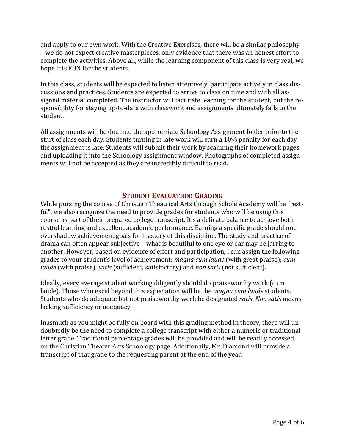and apply to our own work. With the Creative Exercises, there will be a similar philosophy – we do not expect creative masterpieces, only evidence that there was an honest effort to complete the activities. Above all, while the learning component of this class is very real, we hope it is FUN for the students.

In this class, students will be expected to listen attentively, participate actively in class discussions and practices. Students are expected to arrive to class on time and with all assigned material completed. The instructor will facilitate learning for the student, but the responsibility for staying up-to-date with classwork and assignments ultimately falls to the student.

All assignments will be due into the appropriate Schoology Assignment folder prior to the start of class each day. Students turning in late work will earn a 10% penalty for each day the assignment is late. Students will submit their work by scanning their homework pages and uploading it into the Schoology assignment window. Photographs of completed assignments will not be accepted as they are incredibly difficult to read.

### **STUDENT EVALUATION: GRADING**

While pursing the course of Christian Theatrical Arts through Scholé Academy will be "restful", we also recognize the need to provide grades for students who will be using this course as part of their prepared college transcript. It's a delicate balance to achieve both restful learning and excellent academic performance. Earning a specific grade should not overshadow achievement goals for mastery of this discipline. The study and practice of drama can often appear subjective – what is beautiful to one eye or ear may be jarring to another. However, based on evidence of effort and participation, I can assign the following grades to your student's level of achievement: *magna cum laude* (with great praise); *cum laude* (with praise); *satis* (sufficient, satisfactory) and *non satis* (not sufficient).

Ideally, every average student working diligently should do praiseworthy work (cum laude). Those who excel beyond this expectation will be the *magna cum laude* students. Students who do adequate but not praiseworthy work be designated *satis*. *Non satis* means lacking sufficiency or adequacy.

Inasmuch as you might be fully on board with this grading method in theory, there will undoubtedly be the need to complete a college transcript with either a numeric or traditional letter grade. Traditional percentage grades will be provided and will be readily accessed on the Christian Theater Arts Schoology page. Additionally, Mr. Diamond will provide a transcript of that grade to the requesting parent at the end of the year.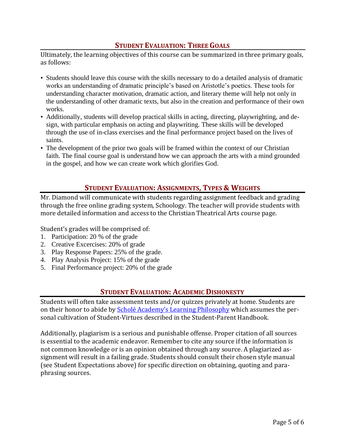# **STUDENT EVALUATION: THREE GOALS**

Ultimately, the learning objectives of this course can be summarized in three primary goals, as follows:

- Students should leave this course with the skills necessary to do a detailed analysis of dramatic works an understanding of dramatic principle's based on Aristotle's poetics. These tools for understanding character motivation, dramatic action, and literary theme will help not only in the understanding of other dramatic texts, but also in the creation and performance of their own works.
- Additionally, students will develop practical skills in acting, directing, playwrighting, and design, with particular emphasis on acting and playwriting. These skills will be developed through the use of in-class exercises and the final performance project based on the lives of saints.
- The development of the prior two goals will be framed within the context of our Christian faith. The final course goal is understand how we can approach the arts with a mind grounded in the gospel, and how we can create work which glorifies God.

# **STUDENT EVALUATION: ASSIGNMENTS, TYPES & WEIGHTS**

Mr. Diamond will communicate with students regarding assignment feedback and grading through the free online grading system, Schoology. The teacher will provide students with more detailed information and access to the Christian Theatrical Arts course page.

Student's grades will be comprised of:

- 1. Participation: 20 % of the grade
- 2. Creative Excercises: 20% of grade
- 3. Play Response Papers: 25% of the grade.
- 4. Play Analysis Project: 15% of the grade
- 5. Final Performance project: 20% of the grade

# **STUDENT EVALUATION: ACADEMIC DISHONESTY**

Students will often take assessment tests and/or quizzes privately at home. Students are on their honor to abide by Scholé Academy's Learning Philosophy which assumes the personal cultivation of Student-Virtues described in the Student-Parent Handbook.

Additionally, plagiarism is a serious and punishable offense. Proper citation of all sources is essential to the academic endeavor. Remember to cite any source if the information is not common knowledge or is an opinion obtained through any source. A plagiarized assignment will result in a failing grade. Students should consult their chosen style manual (see Student Expectations above) for specific direction on obtaining, quoting and paraphrasing sources.